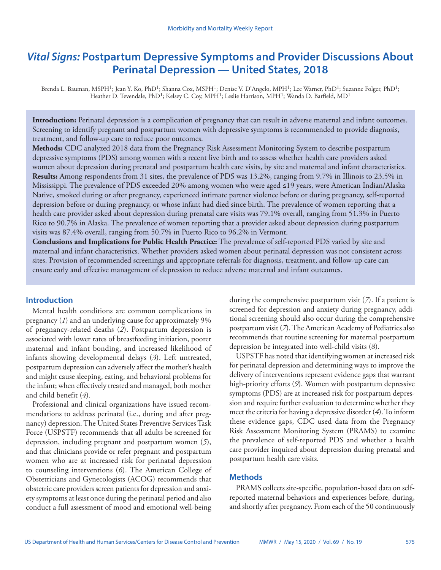# *Vital Signs:* **Postpartum Depressive Symptoms and Provider Discussions About Perinatal Depression — United States, 2018**

Brenda L. Bauman, MSPH<sup>1</sup>; Jean Y. Ko, PhD<sup>1</sup>; Shanna Cox, MSPH<sup>1</sup>; Denise V. D'Angelo, MPH<sup>1</sup>; Lee Warner, PhD<sup>1</sup>; Suzanne Folger, PhD<sup>1</sup>; Heather D. Tevendale, PhD<sup>1</sup>; Kelsey C. Coy, MPH<sup>1</sup>; Leslie Harrison, MPH<sup>1</sup>; Wanda D. Barfield, MD<sup>1</sup>

**Introduction:** Perinatal depression is a complication of pregnancy that can result in adverse maternal and infant outcomes. Screening to identify pregnant and postpartum women with depressive symptoms is recommended to provide diagnosis, treatment, and follow-up care to reduce poor outcomes.

**Methods:** CDC analyzed 2018 data from the Pregnancy Risk Assessment Monitoring System to describe postpartum depressive symptoms (PDS) among women with a recent live birth and to assess whether health care providers asked women about depression during prenatal and postpartum health care visits, by site and maternal and infant characteristics. **Results:** Among respondents from 31 sites, the prevalence of PDS was 13.2%, ranging from 9.7% in Illinois to 23.5% in Mississippi. The prevalence of PDS exceeded 20% among women who were aged ≤19 years, were American Indian/Alaska Native, smoked during or after pregnancy, experienced intimate partner violence before or during pregnancy, self-reported depression before or during pregnancy, or whose infant had died since birth. The prevalence of women reporting that a health care provider asked about depression during prenatal care visits was 79.1% overall, ranging from 51.3% in Puerto Rico to 90.7% in Alaska. The prevalence of women reporting that a provider asked about depression during postpartum visits was 87.4% overall, ranging from 50.7% in Puerto Rico to 96.2% in Vermont.

**Conclusions and Implications for Public Health Practice:** The prevalence of self-reported PDS varied by site and maternal and infant characteristics. Whether providers asked women about perinatal depression was not consistent across sites. Provision of recommended screenings and appropriate referrals for diagnosis, treatment, and follow-up care can ensure early and effective management of depression to reduce adverse maternal and infant outcomes.

# **Introduction**

Mental health conditions are common complications in pregnancy (*1*) and an underlying cause for approximately 9% of pregnancy-related deaths (*2*). Postpartum depression is associated with lower rates of breastfeeding initiation, poorer maternal and infant bonding, and increased likelihood of infants showing developmental delays (*3*). Left untreated, postpartum depression can adversely affect the mother's health and might cause sleeping, eating, and behavioral problems for the infant; when effectively treated and managed, both mother and child benefit (*4*).

Professional and clinical organizations have issued recommendations to address perinatal (i.e., during and after pregnancy) depression. The United States Preventive Services Task Force (USPSTF) recommends that all adults be screened for depression, including pregnant and postpartum women (*5*), and that clinicians provide or refer pregnant and postpartum women who are at increased risk for perinatal depression to counseling interventions (*6*). The American College of Obstetricians and Gynecologists (ACOG) recommends that obstetric care providers screen patients for depression and anxiety symptoms at least once during the perinatal period and also conduct a full assessment of mood and emotional well-being

during the comprehensive postpartum visit (*7*). If a patient is screened for depression and anxiety during pregnancy, additional screening should also occur during the comprehensive postpartum visit (*7*). The American Academy of Pediatrics also recommends that routine screening for maternal postpartum depression be integrated into well-child visits (*8*).

USPSTF has noted that identifying women at increased risk for perinatal depression and determining ways to improve the delivery of interventions represent evidence gaps that warrant high-priority efforts (*9*). Women with postpartum depressive symptoms (PDS) are at increased risk for postpartum depression and require further evaluation to determine whether they meet the criteria for having a depressive disorder (*4*). To inform these evidence gaps, CDC used data from the Pregnancy Risk Assessment Monitoring System (PRAMS) to examine the prevalence of self-reported PDS and whether a health care provider inquired about depression during prenatal and postpartum health care visits.

# **Methods**

PRAMS collects site-specific, population-based data on selfreported maternal behaviors and experiences before, during, and shortly after pregnancy. From each of the 50 continuously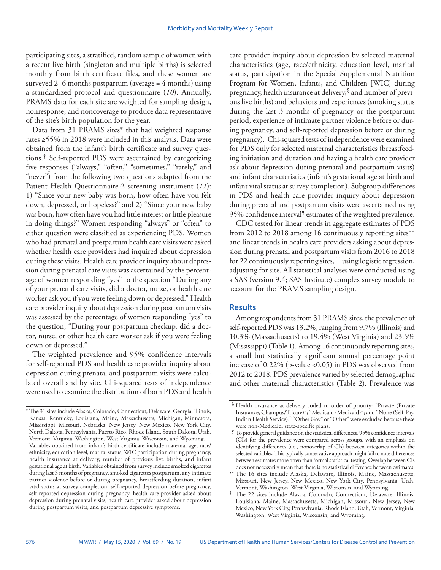participating sites, a stratified, random sample of women with a recent live birth (singleton and multiple births) is selected monthly from birth certificate files, and these women are surveyed 2–6 months postpartum (average = 4 months) using a standardized protocol and questionnaire (*10*). Annually, PRAMS data for each site are weighted for sampling design, nonresponse, and noncoverage to produce data representative of the site's birth population for the year.

Data from 31 PRAMS sites\* that had weighted response rates ≥55% in 2018 were included in this analysis. Data were obtained from the infant's birth certificate and survey questions.† Self-reported PDS were ascertained by categorizing five responses ("always," "often," "sometimes," "rarely," and "never") from the following two questions adapted from the Patient Health Questionnaire-2 screening instrument (*11*): 1) "Since your new baby was born, how often have you felt down, depressed, or hopeless?" and 2) "Since your new baby was born, how often have you had little interest or little pleasure in doing things?" Women responding "always" or "often" to either question were classified as experiencing PDS. Women who had prenatal and postpartum health care visits were asked whether health care providers had inquired about depression during these visits. Health care provider inquiry about depression during prenatal care visits was ascertained by the percentage of women responding "yes" to the question "During any of your prenatal care visits, did a doctor, nurse, or health care worker ask you if you were feeling down or depressed." Health care provider inquiry about depression during postpartum visits was assessed by the percentage of women responding "yes" to the question, "During your postpartum checkup, did a doctor, nurse, or other health care worker ask if you were feeling down or depressed."

The weighted prevalence and 95% confidence intervals for self-reported PDS and health care provider inquiry about depression during prenatal and postpartum visits were calculated overall and by site. Chi-squared tests of independence were used to examine the distribution of both PDS and health

care provider inquiry about depression by selected maternal characteristics (age, race/ethnicity, education level, marital status, participation in the Special Supplemental Nutrition Program for Women, Infants, and Children [WIC] during pregnancy, health insurance at delivery,§ and number of previous live births) and behaviors and experiences (smoking status during the last 3 months of pregnancy or the postpartum period, experience of intimate partner violence before or during pregnancy, and self-reported depression before or during pregnancy). Chi-squared tests of independence were examined for PDS only for selected maternal characteristics (breastfeeding initiation and duration and having a health care provider ask about depression during prenatal and postpartum visits) and infant characteristics (infant's gestational age at birth and infant vital status at survey completion). Subgroup differences in PDS and health care provider inquiry about depression during prenatal and postpartum visits were ascertained using 95% confidence interval<sup>9</sup> estimates of the weighted prevalence.

CDC tested for linear trends in aggregate estimates of PDS from 2012 to 2018 among 16 continuously reporting sites\*\* and linear trends in health care providers asking about depression during prenatal and postpartum visits from 2016 to 2018 for 22 continuously reporting sites,<sup>††</sup> using logistic regression, adjusting for site. All statistical analyses were conducted using a SAS (version 9.4; SAS Institute) complex survey module to account for the PRAMS sampling design.

# **Results**

Among respondents from 31 PRAMS sites, the prevalence of self-reported PDS was 13.2%, ranging from 9.7% (Illinois) and 10.3% (Massachusetts) to 19.4% (West Virginia) and 23.5% (Mississippi) (Table 1). Among 16 continuously reporting sites, a small but statistically significant annual percentage point increase of 0.22% (p-value <0.05) in PDS was observed from 2012 to 2018. PDS prevalence varied by selected demographic and other maternal characteristics (Table 2). Prevalence was

<sup>\*</sup>The 31 sites include Alaska, Colorado, Connecticut, Delaware, Georgia, Illinois, Kansas, Kentucky, Louisiana, Maine, Massachusetts, Michigan, Minnesota, Mississippi, Missouri, Nebraska, New Jersey, New Mexico, New York City, North Dakota, Pennsylvania, Puerto Rico, Rhode Island, South Dakota, Utah, Vermont, Virginia, Washington, West Virginia, Wisconsin, and Wyoming.

<sup>†</sup>Variables obtained from infant's birth certificate include maternal age, race/ ethnicity, education level, marital status, WIC participation during pregnancy, health insurance at delivery, number of previous live births, and infant gestational age at birth. Variables obtained from survey include smoked cigarettes during last 3 months of pregnancy, smoked cigarettes postpartum, any intimate partner violence before or during pregnancy, breastfeeding duration, infant vital status at survey completion, self-reported depression before pregnancy, self-reported depression during pregnancy, health care provider asked about depression during prenatal visits, health care provider asked about depression during postpartum visits, and postpartum depressive symptoms.

<sup>§</sup> Health insurance at delivery coded in order of priority: "Private (Private Insurance, Champus/Tricare)"; "Medicaid (Medicaid)"; and "None (Self-Pay, Indian Health Service)." "Other Gov" or "Other" were excluded because these were non-Medicaid, state-specific plans.

<sup>¶</sup> To provide general guidance on the statistical differences, 95% confidence intervals (CIs) for the prevalence were compared across groups, with an emphasis on identifying differences (i.e., nonoverlap of CIs) between categories within the selected variables. This typically conservative approach might fail to note differences between estimates more often than formal statistical testing. Overlap between CIs does not necessarily mean that there is no statistical difference between estimates.

<sup>\*\*</sup> The 16 sites include Alaska, Delaware, Illinois, Maine, Massachusetts, Missouri, New Jersey, New Mexico, New York City, Pennsylvania, Utah, Vermont, Washington, West Virginia, Wisconsin, and Wyoming.

<sup>††</sup> The 22 sites include Alaska, Colorado, Connecticut, Delaware, Illinois, Louisiana, Maine, Massachusetts, Michigan, Missouri, New Jersey, New Mexico, New York City, Pennsylvania, Rhode Island, Utah, Vermont, Virginia, Washington, West Virginia, Wisconsin, and Wyoming.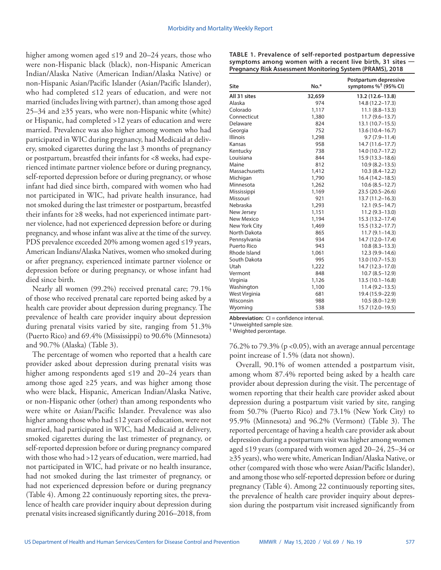higher among women aged ≤19 and 20–24 years, those who were non-Hispanic black (black), non-Hispanic American Indian/Alaska Native (American Indian/Alaska Native) or non-Hispanic Asian/Pacific Islander (Asian/Pacific Islander), who had completed ≤12 years of education, and were not married (includes living with partner), than among those aged 25–34 and ≥35 years, who were non-Hispanic white (white) or Hispanic, had completed >12 years of education and were married. Prevalence was also higher among women who had participated in WIC during pregnancy, had Medicaid at delivery, smoked cigarettes during the last 3 months of pregnancy or postpartum, breastfed their infants for <8 weeks, had experienced intimate partner violence before or during pregnancy, self-reported depression before or during pregnancy, or whose infant had died since birth, compared with women who had not participated in WIC, had private health insurance, had not smoked during the last trimester or postpartum, breastfed their infants for ≥8 weeks, had not experienced intimate partner violence, had not experienced depression before or during pregnancy, and whose infant was alive at the time of the survey. PDS prevalence exceeded 20% among women aged ≤19 years, American Indians/Alaska Natives, women who smoked during or after pregnancy, experienced intimate partner violence or depression before or during pregnancy, or whose infant had died since birth.

Nearly all women (99.2%) received prenatal care; 79.1% of those who received prenatal care reported being asked by a health care provider about depression during pregnancy. The prevalence of health care provider inquiry about depression during prenatal visits varied by site, ranging from 51.3% (Puerto Rico) and 69.4% (Mississippi) to 90.6% (Minnesota) and 90.7% (Alaska) (Table 3).

The percentage of women who reported that a health care provider asked about depression during prenatal visits was higher among respondents aged ≤19 and 20–24 years than among those aged ≥25 years, and was higher among those who were black, Hispanic, American Indian/Alaska Native, or non-Hispanic other (other) than among respondents who were white or Asian/Pacific Islander. Prevalence was also higher among those who had ≤12 years of education, were not married, had participated in WIC, had Medicaid at delivery, smoked cigarettes during the last trimester of pregnancy, or self-reported depression before or during pregnancy compared with those who had >12 years of education, were married, had not participated in WIC, had private or no health insurance, had not smoked during the last trimester of pregnancy, or had not experienced depression before or during pregnancy (Table 4). Among 22 continuously reporting sites, the prevalence of health care provider inquiry about depression during prenatal visits increased significantly during 2016–2018, from

| Site            | $No.*$ | Postpartum depressive<br>symptoms $%^{\dagger}$ (95% CI) |  |  |
|-----------------|--------|----------------------------------------------------------|--|--|
| All 31 sites    | 32,659 | 13.2 (12.6-13.8)                                         |  |  |
| Alaska          | 974    | 14.8 (12.2-17.3)                                         |  |  |
| Colorado        | 1,117  | $11.1 (8.8 - 13.3)$                                      |  |  |
| Connecticut     | 1,380  | $11.7(9.6 - 13.7)$                                       |  |  |
| Delaware        | 824    | 13.1 (10.7–15.5)                                         |  |  |
| Georgia         | 752    | 13.6 (10.4-16.7)                                         |  |  |
| <b>Illinois</b> | 1,298  | $9.7(7.9 - 11.4)$                                        |  |  |
| Kansas          | 958    | $14.7(11.6 - 17.7)$                                      |  |  |
| Kentucky        | 738    | 14.0 (10.7-17.2)                                         |  |  |
| Louisiana       | 844    | 15.9 (13.3-18.6)                                         |  |  |
| Maine           | 812    | $10.9(8.2 - 13.5)$                                       |  |  |
| Massachusetts   | 1,412  | $10.3(8.4-12.2)$                                         |  |  |
| Michigan        | 1,790  | 16.4 (14.2-18.5)                                         |  |  |
| Minnesota       | 1,262  | $10.6(8.5-12.7)$                                         |  |  |
| Mississippi     | 1,169  | 23.5 (20.5-26.6)                                         |  |  |
| Missouri        | 921    | $13.7(11.2 - 16.3)$                                      |  |  |
| Nebraska        | 1,293  | $12.1(9.5 - 14.7)$                                       |  |  |
| New Jersey      | 1,151  | $11.2(9.3-13.0)$                                         |  |  |
| New Mexico      | 1,194  | 15.3 (13.2-17.4)                                         |  |  |
| New York City   | 1,469  | 15.5 (13.2-17.7)                                         |  |  |
| North Dakota    | 865    | $11.7(9.1 - 14.3)$                                       |  |  |
| Pennsylvania    | 934    | 14.7 (12.0-17.4)                                         |  |  |
| Puerto Rico     | 943    | $10.8(8.3 - 13.3)$                                       |  |  |
| Rhode Island    | 1,061  | 12.3 (9.9-14.6)                                          |  |  |
| South Dakota    | 995    | $13.0(10.7-15.3)$                                        |  |  |
| Utah            | 1,222  | 14.7 (12.3-17.0)                                         |  |  |
| Vermont         | 848    | $10.7(8.5-12.9)$                                         |  |  |
| Virginia        | 1,126  | $13.5(10.1 - 16.8)$                                      |  |  |
| Washington      | 1,100  | $11.4(9.2 - 13.5)$                                       |  |  |
| West Virginia   | 681    | 19.4 (15.9-22.9)                                         |  |  |
| Wisconsin       | 988    | $10.5(8.0-12.9)$                                         |  |  |
| Wyoming         | 538    | 15.7 (12.0-19.5)                                         |  |  |

**TABLE 1. Prevalence of self-reported postpartum depressive symptoms among women with a recent live birth, 31 sites — Pregnancy Risk Assessment Monitoring System (PRAMS), 2018**

**Abbreviation:** CI = confidence interval.

\* Unweighted sample size.

† Weighted percentage.

76.2% to 79.3% (p <0.05), with an average annual percentage point increase of 1.5% (data not shown).

Overall, 90.1% of women attended a postpartum visit, among whom 87.4% reported being asked by a health care provider about depression during the visit. The percentage of women reporting that their health care provider asked about depression during a postpartum visit varied by site, ranging from 50.7% (Puerto Rico) and 73.1% (New York City) to 95.9% (Minnesota) and 96.2% (Vermont) (Table 3). The reported percentage of having a health care provider ask about depression during a postpartum visit was higher among women aged ≤19 years (compared with women aged 20–24, 25–34 or ≥35 years), who were white, American Indian/Alaska Native, or other (compared with those who were Asian/Pacific Islander), and among those who self-reported depression before or during pregnancy (Table 4). Among 22 continuously reporting sites, the prevalence of health care provider inquiry about depression during the postpartum visit increased significantly from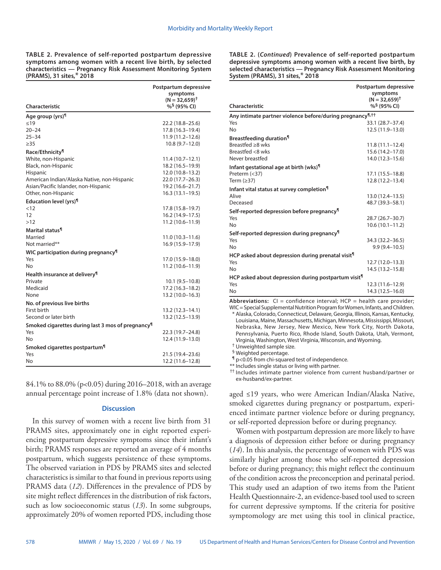**TABLE 2. Prevalence of self-reported postpartum depressive symptoms among women with a recent live birth, by selected characteristics — Pregnancy Risk Assessment Monitoring System (PRAMS), 31 sites,**\* **2018**

**Characteristic Postpartum depressive symptoms (N = 32,659)† %§ (95% CI) Age group (yrs)**¶  $≤19$  22.2 (18.8–25.6) 20–24 17.8 (16.3–19.4) 25–34 11.9 (11.2–12.6)  $≥35$  10.8 (9.7–12.0) **Race/Ethnicity¶** White, non-Hispanic 11.4 (10.7–12.1)<br>Black, non-Hispanic 18.2 (16.5–19.9) Black, non-Hispanic Hispanic 12.0 (10.8–13.2) American Indian/Alaska Native, non-Hispanic 22.0 (17.7–26.3) Asian/Pacific Islander, non-Hispanic 19.2 (16.6–21.7) Other, non-Hispanic 16.3 (13.1–19.5) **Education level (yrs)¶** <12 17.8 (15.8–19.7) 12 16.2 (14.9–17.5) >12 11.2 (10.6–11.9) **Marital status¶** Married 11.0 (10.3–11.6)<br>Not married \*\* 16.9 (15.9–17.9) 16.9 (15.9–17.9) **WIC participation during pregnancy¶** Yes 17.0 (15.9–18.0)<br>No 11.2 (10.6–11.9) No 11.2 (10.6–11.9) **Health insurance at delivery¶**  $10.1 (9.5-10.8)$ Medicaid 17.2 (16.3–18.2) None 13.2 (10.0–16.3) **No. of previous live births** First birth 13.2 (12.3–14.1) Second or later birth 13.2 (12.5–13.9) **Smoked cigarettes during last 3 mos of pregnancy¶** Yes 22.3 (19.7–24.8) No 12.4 (11.9–13.0) **Smoked cigarettes postpartum¶** Yes 21.5 (19.4–23.6) No 12.2 (11.6–12.8)

84.1% to 88.0% (p<0.05) during 2016–2018, with an average annual percentage point increase of 1.8% (data not shown).

## **Discussion**

In this survey of women with a recent live birth from 31 PRAMS sites, approximately one in eight reported experiencing postpartum depressive symptoms since their infant's birth; PRAMS responses are reported an average of 4 months postpartum, which suggests persistence of these symptoms. The observed variation in PDS by PRAMS sites and selected characteristics is similar to that found in previous reports using PRAMS data (*12*). Differences in the prevalence of PDS by site might reflect differences in the distribution of risk factors, such as low socioeconomic status (*13*). In some subgroups, approximately 20% of women reported PDS, including those **TABLE 2. (***Continued***) Prevalence of self-reported postpartum depressive symptoms among women with a recent live birth, by selected characteristics — Pregnancy Risk Assessment Monitoring System (PRAMS), 31 sites,**\* **2018**

| Characteristic                                                        | Postpartum depressive<br>symptoms<br>$(N = 32.659)^+$<br>% <sup>§</sup> (95% CI) |  |  |  |
|-----------------------------------------------------------------------|----------------------------------------------------------------------------------|--|--|--|
| Any intimate partner violence before/during pregnancy <sup>¶,††</sup> |                                                                                  |  |  |  |
| Yes                                                                   | 33.1 (28.7-37.4)                                                                 |  |  |  |
| No                                                                    | 12.5 (11.9-13.0)                                                                 |  |  |  |
| Breastfeeding duration <sup>1</sup>                                   |                                                                                  |  |  |  |
| Breastfed >8 wks                                                      | $11.8(11.1 - 12.4)$                                                              |  |  |  |
| Breastfed <8 wks                                                      | 15.6 (14.2-17.0)                                                                 |  |  |  |
| Never breastfed                                                       | 14.0 (12.3-15.6)                                                                 |  |  |  |
| Infant gestational age at birth (wks) <sup>1</sup>                    |                                                                                  |  |  |  |
| Preterm $(<$ 37)                                                      | 17.1 (15.5-18.8)                                                                 |  |  |  |
| Term $(≥37)$                                                          | 12.8 (12.2-13.4)                                                                 |  |  |  |
| Infant vital status at survey completion <sup>¶</sup>                 |                                                                                  |  |  |  |
| Alive                                                                 | 13.0 (12.4–13.5)                                                                 |  |  |  |
| Deceased                                                              | 48.7 (39.3 - 58.1)                                                               |  |  |  |
| Self-reported depression before pregnancy <sup>11</sup>               |                                                                                  |  |  |  |
| Yes                                                                   | 28.7 (26.7-30.7)                                                                 |  |  |  |
| No                                                                    | $10.6(10.1 - 11.2)$                                                              |  |  |  |
| Self-reported depression during pregnancy <sup>11</sup>               |                                                                                  |  |  |  |
| Yes                                                                   | 34.3 (32.2 - 36.5)                                                               |  |  |  |
| No                                                                    | $9.9(9.4 - 10.5)$                                                                |  |  |  |
| HCP asked about depression during prenatal visit <sup>1</sup>         |                                                                                  |  |  |  |
| Yes                                                                   | $12.7(12.0-13.3)$                                                                |  |  |  |
| No                                                                    | 14.5 (13.2–15.8)                                                                 |  |  |  |
| HCP asked about depression during postpartum visit <sup>1</sup>       |                                                                                  |  |  |  |
| Yes                                                                   | $12.3(11.6 - 12.9)$                                                              |  |  |  |
| No                                                                    | 14.3 (12.5-16.0)                                                                 |  |  |  |

Abbreviations: CI = confidence interval; HCP = health care provider; WIC = Special Supplemental Nutrition Program for Women, Infants, and Children. \* Alaska, Colorado, Connecticut, Delaware, Georgia, Illinois, Kansas, Kentucky, Louisiana, Maine, Massachusetts, Michigan, Minnesota, Mississippi, Missouri, Nebraska, New Jersey, New Mexico, New York City, North Dakota, Pennsylvania, Puerto Rico, Rhode Island, South Dakota, Utah, Vermont,

Virginia, Washington, West Virginia, Wisconsin, and Wyoming.

† Unweighted sample size.

§ Weighted percentage.

¶ p<0.05 from chi-squared test of independence.

\*\* Includes single status or living with partner.

†† Includes intimate partner violence from current husband/partner or ex-husband/ex-partner.

aged ≤19 years, who were American Indian/Alaska Native, smoked cigarettes during pregnancy or postpartum, experienced intimate partner violence before or during pregnancy, or self-reported depression before or during pregnancy.

Women with postpartum depression are more likely to have a diagnosis of depression either before or during pregnancy (*14*). In this analysis, the percentage of women with PDS was similarly higher among those who self-reported depression before or during pregnancy; this might reflect the continuum of the condition across the preconception and perinatal period. This study used an adaption of two items from the Patient Health Questionnaire-2, an evidence-based tool used to screen for current depressive symptoms. If the criteria for positive symptomology are met using this tool in clinical practice,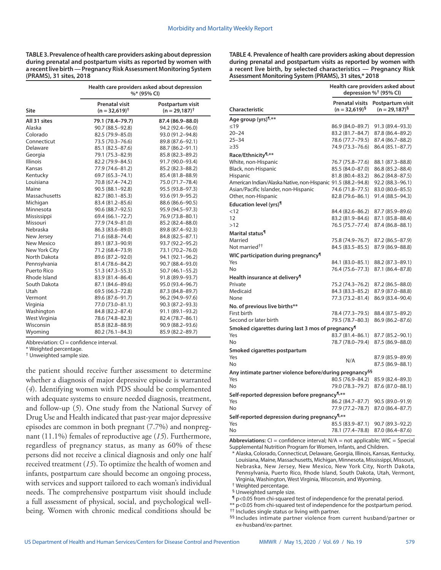**TABLE 3. Prevalence of health care providers asking about depression during prenatal and postpartum visits as reported by women with a recent live birth — Pregnancy Risk Assessment Monitoring System (PRAMS), 31 sites, 2018**

|                   | Health care providers asked about depression<br>%* (95% CI) |                                       |  |
|-------------------|-------------------------------------------------------------|---------------------------------------|--|
| <b>Site</b>       | <b>Prenatal visit</b><br>$(n = 32,619)^+$                   | Postpartum visit<br>$(n = 29, 187)^+$ |  |
| All 31 sites      | 79.1 (78.4-79.7)                                            | 87.4 (86.9-88.0)                      |  |
| Alaska            | 90.7 (88.5-92.8)                                            | 94.2 (92.4-96.0)                      |  |
| Colorado          | 82.5 (79.9-85.0)                                            | 93.0 (91.2-94.8)                      |  |
| Connecticut       | 73.5 (70.3-76.6)                                            | 89.8 (87.6-92.1)                      |  |
| Delaware          | 85.1 (82.5-87.6)                                            | 88.7 (86.2-91.1)                      |  |
| Georgia           | 79.1 (75.3-82.9)                                            | 85.8 (82.3–89.2)                      |  |
| <b>Illinois</b>   | 82.2 (79.9-84.5)                                            | 91.7 (90.0-93.4)                      |  |
| Kansas            | 77.9 (74.6-81.2)                                            | 85.2 (82.3-88.2)                      |  |
| Kentucky          | 69.7 (65.3-74.1)                                            | 85.4 (81.8-88.9)                      |  |
| Louisiana         | 70.8 (67.4–74.2)                                            | 75.0 (71.7–78.4)                      |  |
| Maine             | $90.5(88.1 - 92.8)$                                         | 95.5 (93.8–97.3)                      |  |
| Massachusetts     | 82.7 (80.1-85.3)                                            | 93.6 (91.9-95.2)                      |  |
| Michigan          | 83.4 (81.2-85.6)                                            | 88.6 (86.6-90.5)                      |  |
| Minnesota         | 90.6 (88.7-92.5)                                            | 95.9 (94.5-97.3)                      |  |
| Mississippi       | 69.4 (66.1-72.7)                                            | 76.9 (73.8-80.1)                      |  |
| Missouri          | 77.9 (74.9-81.0)                                            | 85.2 (82.4-88.0)                      |  |
| Nebraska          | 86.3 (83.6-89.0)                                            | 89.8 (87.4-92.3)                      |  |
| New Jersey        | 71.6 (68.8-74.4)                                            | 84.8 (82.5-87.1)                      |  |
| <b>New Mexico</b> | 89.1 (87.3-90.9)                                            | 93.7 (92.2-95.2)                      |  |
| New York City     | 71.2 (68.4-73.9)                                            | 73.1 (70.2-76.0)                      |  |
| North Dakota      | 89.6 (87.2-92.0)                                            | 94.1 (92.1-96.2)                      |  |
| Pennsylvania      | 81.4 (78.6-84.2)                                            | 90.7 (88.4-93.0)                      |  |
| Puerto Rico       | 51.3 (47.3–55.3)                                            | 50.7 (46.1-55.2)                      |  |
| Rhode Island      | 83.9 (81.4–86.4)                                            | 91.8 (89.9–93.7)                      |  |
| South Dakota      | 87.1 (84.6–89.6)                                            | 95.0 (93.4–96.7)                      |  |
| Utah              | 69.5 (66.3-72.8)                                            | 87.3 (84.8-89.7)                      |  |
| Vermont           | 89.6 (87.6-91.7)                                            | 96.2 (94.9-97.6)                      |  |
| Virginia          | 77.0 (73.0-81.1)                                            | 90.3 (87.2-93.3)                      |  |
| Washington        | 84.8 (82.2-87.4)                                            | 91.1 (89.1-93.2)                      |  |
| West Virginia     | 78.6 (74.8-82.3)                                            | 82.4 (78.7-86.1)                      |  |
| Wisconsin         | 85.8 (82.8-88.9)                                            | 90.9 (88.2-93.6)                      |  |
| Wyoming           | 80.2 (76.1-84.3)                                            | 85.9 (82.2-89.7)                      |  |

Abbreviation:  $Cl =$  confidence interval.

\* Weighted percentage.

† Unweighted sample size.

the patient should receive further assessment to determine whether a diagnosis of major depressive episode is warranted (*4*). Identifying women with PDS should be complemented with adequate systems to ensure needed diagnosis, treatment, and follow-up (*5*). One study from the National Survey of Drug Use and Health indicated that past-year major depressive episodes are common in both pregnant (7.7%) and nonpregnant (11.1%) females of reproductive age (*15*). Furthermore, regardless of pregnancy status, as many as 60% of these persons did not receive a clinical diagnosis and only one half received treatment (*15*). To optimize the health of women and infants, postpartum care should become an ongoing process, with services and support tailored to each woman's individual needs. The comprehensive postpartum visit should include a full assessment of physical, social, and psychological wellbeing. Women with chronic medical conditions should be

**TABLE 4. Prevalence of health care providers asking about depression during prenatal and postpartum visits as reported by women with a recent live birth, by selected characteristics — Pregnancy Risk Assessment Monitoring System (PRAMS), 31 sites,\* 2018**

|                                                                            | Health care providers asked about<br>depression % <sup>†</sup> (95% CI) |                                       |  |
|----------------------------------------------------------------------------|-------------------------------------------------------------------------|---------------------------------------|--|
| <b>Characteristic</b>                                                      | <b>Prenatal visits</b><br>$(n = 32,619)^{9}$                            | Postpartum visit<br>$(n = 29, 187)^5$ |  |
| Age group (yrs) <sup>1,**</sup>                                            |                                                                         |                                       |  |
| $\leq 19$                                                                  | 86.9 (84.0-89.7)                                                        | 91.3 (89.4-93.3)                      |  |
| $20 - 24$                                                                  | 83.2 (81.7–84.7)                                                        | 87.8 (86.4–89.2)                      |  |
| $25 - 34$                                                                  | 78.6 (77.7–79.5)                                                        | 87.4 (86.7–88.2)                      |  |
| $\geq$ 35                                                                  | 74.9 (73.3-76.6)                                                        | 86.4 (85.1–87.7)                      |  |
| Race/Ethnicity <sup>¶,**</sup>                                             |                                                                         |                                       |  |
| White, non-Hispanic                                                        | 76.7 (75.8–77.6)                                                        | 88.1 (87.3–88.8)                      |  |
| Black, non-Hispanic                                                        | 85.5 (84.0–87.0)                                                        | 86.8 (85.2–88.4)                      |  |
| Hispanic                                                                   | 81.8 (80.4–83.2)                                                        | 86.2 (84.8–87.5)                      |  |
| American Indian/Alaska Native, non-Hispanic 91.5 (88.2–94.8)               |                                                                         | 92.2 (88.3-96.1)                      |  |
| Asian/Pacific Islander, non-Hispanic                                       | 74.6 (71.8–77.5)                                                        | 83.0 (80.6-85.5)                      |  |
| Other, non-Hispanic                                                        | 82.8 (79.6-86.1)                                                        | 91.4 (88.5–94.3)                      |  |
| Education level (yrs) <sup>¶</sup>                                         |                                                                         |                                       |  |
| < 12<br>12                                                                 | 84.4 (82.6-86.2)                                                        | 87.7 (85.9–89.6)                      |  |
| >12                                                                        | 83.2 (81.9-84.6)<br>76.5 (75.7–77.4)                                    | 87.1 (85.8-88.4)<br>87.4 (86.8-88.1)  |  |
|                                                                            |                                                                         |                                       |  |
| Marital status <sup>¶</sup><br>Married                                     |                                                                         |                                       |  |
| Not married <sup>††</sup>                                                  | 75.8 (74.9–76.7)<br>84.5 (83.5 - 85.5)                                  | 87.2 (86.5-87.9)<br>87.9 (86.9-88.8)  |  |
|                                                                            |                                                                         |                                       |  |
| WIC participation during pregnancy <sup>¶</sup>                            |                                                                         |                                       |  |
| Yes<br>No                                                                  | 84.1 (83.0-85.1)<br>76.4 (75.6–77.3)                                    | 88.2 (87.3-89.1)                      |  |
|                                                                            |                                                                         | 87.1 (86.4-87.8)                      |  |
| Health insurance at delivery <sup>11</sup>                                 |                                                                         |                                       |  |
| Private<br>Medicaid                                                        | 75.2 (74.3–76.2)<br>84.3 (83.3-85.2)                                    | 87.2 (86.5–88.0)                      |  |
| None                                                                       | 77.3 (73.2-81.4)                                                        | 87.9 (87.0–88.8)<br>86.9 (83.4-90.4)  |  |
|                                                                            |                                                                         |                                       |  |
| No. of previous live births**<br>First birth                               | 78.4 (77.3–79.5)                                                        | 88.4 (87.5-89.2)                      |  |
| Second or later birth                                                      | 79.5 (78.7-80.3)                                                        | 86.9 (86.2-87.6)                      |  |
|                                                                            |                                                                         |                                       |  |
| Smoked cigarettes during last 3 mos of pregnancy <sup>¶</sup><br>Yes       | 83.7 (81.4-86.1)                                                        | 87.7 (85.2-90.1)                      |  |
| No                                                                         | 78.7 (78.0-79.4)                                                        | 87.5 (86.9-88.0)                      |  |
|                                                                            |                                                                         |                                       |  |
| Smoked cigarettes postpartum<br>Yes                                        |                                                                         | 87.9 (85.9-89.9)                      |  |
| No                                                                         | N/A                                                                     | 87.5 (86.9-88.1)                      |  |
|                                                                            |                                                                         |                                       |  |
| Any intimate partner violence before/during pregnancy <sup>§§</sup><br>Yes |                                                                         |                                       |  |
| No                                                                         | 80.5 (76.9-84.2)<br>79.0 (78.3-79.7)                                    | 85.9 (82.4–89.3)<br>87.6 (87.0-88.1)  |  |
|                                                                            |                                                                         |                                       |  |
| Self-reported depression before pregnancy <sup>¶,**</sup><br>Yes           |                                                                         |                                       |  |
| No                                                                         | 86.2 (84.7–87.7)<br>77.9 (77.2–78.7)                                    | 90.5 (89.0–91.9)<br>87.0 (86.4–87.7)  |  |
|                                                                            |                                                                         |                                       |  |
| Self-reported depression during pregnancy <sup>1,**</sup>                  | 85.5 (83.9-87.1)                                                        |                                       |  |
| Yes<br>No                                                                  | 78.1 (77.4-78.8)                                                        | 90.7 (89.3–92.2)<br>87.0 (86.4-87.6)  |  |
|                                                                            |                                                                         |                                       |  |

**Abbreviations:** CI = confidence interval; N/A = not applicable; WIC = Special Supplemental Nutrition Program for Women, Infants, and Children.

\* Alaska, Colorado, Connecticut, Delaware, Georgia, Illinois, Kansas, Kentucky, Louisiana, Maine, Massachusetts, Michigan, Minnesota, Mississippi, Missouri, Nebraska, New Jersey, New Mexico, New York City, North Dakota, Pennsylvania, Puerto Rico, Rhode Island, South Dakota, Utah, Vermont, Virginia, Washington, West Virginia, Wisconsin, and Wyoming.

† Weighted percentage.

§ Unweighted sample size.

¶ p<0.05 from chi-squared test of independence for the prenatal period.

\*\* p<0.05 from chi-squared test of independence for the postpartum period.

†† Includes single status or living with partner.

<sup>§§</sup> Includes intimate partner violence from current husband/partner or ex-husband/ex-partner.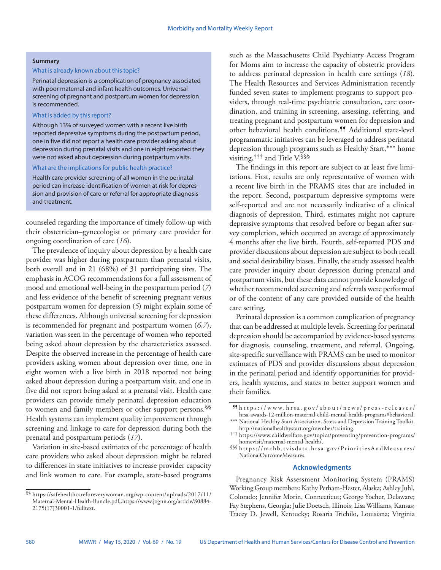#### **Summary**

## What is already known about this topic?

Perinatal depression is a complication of pregnancy associated with poor maternal and infant health outcomes. Universal screening of pregnant and postpartum women for depression is recommended.

## What is added by this report?

Although 13% of surveyed women with a recent live birth reported depressive symptoms during the postpartum period, one in five did not report a health care provider asking about depression during prenatal visits and one in eight reported they were not asked about depression during postpartum visits.

#### What are the implications for public health practice?

Health care provider screening of all women in the perinatal period can increase identification of women at risk for depression and provision of care or referral for appropriate diagnosis and treatment.

counseled regarding the importance of timely follow-up with their obstetrician–gynecologist or primary care provider for ongoing coordination of care (*16*).

The prevalence of inquiry about depression by a health care provider was higher during postpartum than prenatal visits, both overall and in 21 (68%) of 31 participating sites. The emphasis in ACOG recommendations for a full assessment of mood and emotional well-being in the postpartum period (*7*) and less evidence of the benefit of screening pregnant versus postpartum women for depression (*5*) might explain some of these differences. Although universal screening for depression is recommended for pregnant and postpartum women (*6*,*7*), variation was seen in the percentage of women who reported being asked about depression by the characteristics assessed. Despite the observed increase in the percentage of health care providers asking women about depression over time, one in eight women with a live birth in 2018 reported not being asked about depression during a postpartum visit, and one in five did not report being asked at a prenatal visit. Health care providers can provide timely perinatal depression education to women and family members or other support persons.§§ Health systems can implement quality improvement through screening and linkage to care for depression during both the prenatal and postpartum periods (*17*).

Variation in site-based estimates of the percentage of health care providers who asked about depression might be related to differences in state initiatives to increase provider capacity and link women to care. For example, state-based programs

such as the Massachusetts Child Psychiatry Access Program for Moms aim to increase the capacity of obstetric providers to address perinatal depression in health care settings (*18*). The Health Resources and Services Administration recently funded seven states to implement programs to support providers, through real-time psychiatric consultation, care coordination, and training in screening, assessing, referring, and treating pregnant and postpartum women for depression and other behavioral health conditions.¶¶ Additional state-level programmatic initiatives can be leveraged to address perinatal depression through programs such as Healthy Start,\*\*\* home visiting,††† and Title V.§§§

The findings in this report are subject to at least five limitations. First, results are only representative of women with a recent live birth in the PRAMS sites that are included in the report. Second, postpartum depressive symptoms were self-reported and are not necessarily indicative of a clinical diagnosis of depression. Third, estimates might not capture depressive symptoms that resolved before or began after survey completion, which occurred an average of approximately 4 months after the live birth. Fourth, self-reported PDS and provider discussions about depression are subject to both recall and social desirability biases. Finally, the study assessed health care provider inquiry about depression during prenatal and postpartum visits, but these data cannot provide knowledge of whether recommended screening and referrals were performed or of the content of any care provided outside of the health care setting.

Perinatal depression is a common complication of pregnancy that can be addressed at multiple levels. Screening for perinatal depression should be accompanied by evidence-based systems for diagnosis, counseling, treatment, and referral. Ongoing, site-specific surveillance with PRAMS can be used to monitor estimates of PDS and provider discussions about depression in the perinatal period and identify opportunities for providers, health systems, and states to better support women and their families.

### **Acknowledgments**

Pregnancy Risk Assessment Monitoring System (PRAMS) Working Group members: Kathy Perham-Hester, Alaska; Ashley Juhl, Colorado; Jennifer Morin, Connecticut; George Yocher, Delaware; Fay Stephens, Georgia; Julie Doetsch, Illinois; Lisa Williams, Kansas; Tracey D. Jewell, Kentucky; Rosaria Trichilo, Louisiana; Virginia

<sup>§§</sup> [https://safehealthcareforeverywoman.org/wp-content/uploads/2017/11/](https://safehealthcareforeverywoman.org/wp-content/uploads/2017/11/Maternal-Mental-Health-Bundle.pdf) [Maternal-Mental-Health-Bundle.pdf;](https://safehealthcareforeverywoman.org/wp-content/uploads/2017/11/Maternal-Mental-Health-Bundle.pdf).[https://www.jognn.org/article/S0884-](https://www.jognn.org/article/S0884-2175(17)30001-1/fulltext) [2175\(17\)30001-1/fulltext](https://www.jognn.org/article/S0884-2175(17)30001-1/fulltext).

<sup>¶¶</sup> [https://www.hrsa.gov/about/news/press-releases/](https://www.hrsa.gov/about/news/press-releases/hrsa-awards-12-million-maternal-child-mental-health-programs#behavioral) [hrsa-awards-12-million-maternal-child-mental-health-programs#behavioral](https://www.hrsa.gov/about/news/press-releases/hrsa-awards-12-million-maternal-child-mental-health-programs#behavioral).

<sup>\*\*\*</sup> National Healthy Start Association. Stress and Depression Training Toolkit.<br>http://nationalhealthystart.org/member/training.

<http://nationalhealthystart.org/member/training>. ††† [https://www.childwelfare.gov/topics/preventing/prevention-programs/](https://www.childwelfare.gov/topics/preventing/prevention-programs/homevisit/maternal-mental-health/) [homevisit/maternal-mental-health/.](https://www.childwelfare.gov/topics/preventing/prevention-programs/homevisit/maternal-mental-health/) §§§ [https://mchb.tvisdata.hrsa.gov/PrioritiesAndMeasures/](https://mchb.tvisdata.hrsa.gov/PrioritiesAndMeasures/NationalOutcomeMeasures)

[NationalOutcomeMeasures](https://mchb.tvisdata.hrsa.gov/PrioritiesAndMeasures/NationalOutcomeMeasures).